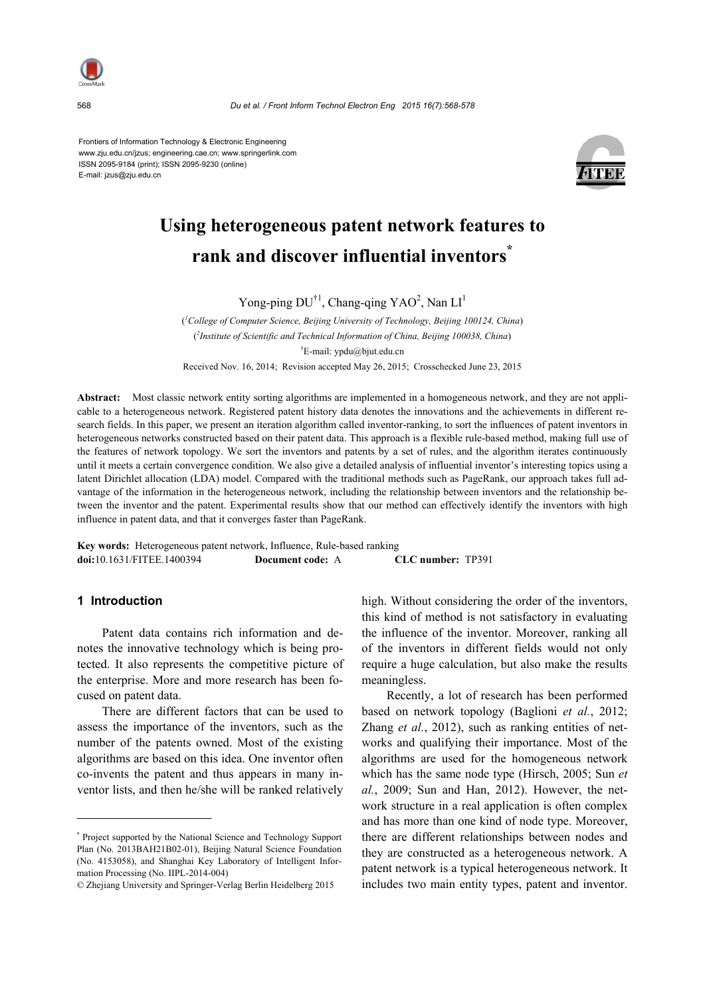

Frontiers of Information Technology & Electronic Engineering www.zju.edu.cn/jzus; engineering.cae.cn; www.springerlink.com ISSN 2095-9184 (print); ISSN 2095-9230 (online) E-mail: jzus@zju.edu.cn



# **Using heterogeneous patent network features to rank and discover influential inventors\***

Yong-ping  $DU^{\dagger 1}$ , Chang-qing YAO<sup>2</sup>, Nan  $LI^1$ 

( *1 College of Computer Science, Beijing University of Technology, Beijing 100124, China*) ( *2 Institute of Scientific and Technical Information of China, Beijing 100038, China*) † E-mail: ypdu@bjut.edu.cn Received Nov. 16, 2014; Revision accepted May 26, 2015; Crosschecked June 23, 2015

**Abstract:** Most classic network entity sorting algorithms are implemented in a homogeneous network, and they are not applicable to a heterogeneous network. Registered patent history data denotes the innovations and the achievements in different research fields. In this paper, we present an iteration algorithm called inventor-ranking, to sort the influences of patent inventors in heterogeneous networks constructed based on their patent data. This approach is a flexible rule-based method, making full use of the features of network topology. We sort the inventors and patents by a set of rules, and the algorithm iterates continuously until it meets a certain convergence condition. We also give a detailed analysis of influential inventor's interesting topics using a latent Dirichlet allocation (LDA) model. Compared with the traditional methods such as PageRank, our approach takes full advantage of the information in the heterogeneous network, including the relationship between inventors and the relationship between the inventor and the patent. Experimental results show that our method can effectively identify the inventors with high influence in patent data, and that it converges faster than PageRank.

**Key words:** Heterogeneous patent network, Influence, Rule-based ranking **doi:**10.1631/FITEE.1400394 **Document code:** A **CLC number:** TP391

## **1 Introduction**

Patent data contains rich information and denotes the innovative technology which is being protected. It also represents the competitive picture of the enterprise. More and more research has been focused on patent data.

There are different factors that can be used to assess the importance of the inventors, such as the number of the patents owned. Most of the existing algorithms are based on this idea. One inventor often co-invents the patent and thus appears in many inventor lists, and then he/she will be ranked relatively

high. Without considering the order of the inventors, this kind of method is not satisfactory in evaluating the influence of the inventor. Moreover, ranking all of the inventors in different fields would not only require a huge calculation, but also make the results meaningless.

Recently, a lot of research has been performed based on network topology (Baglioni *et al.*, 2012; Zhang *et al.*, 2012), such as ranking entities of networks and qualifying their importance. Most of the algorithms are used for the homogeneous network which has the same node type (Hirsch, 2005; Sun *et al.*, 2009; Sun and Han, 2012). However, the network structure in a real application is often complex and has more than one kind of node type. Moreover, there are different relationships between nodes and they are constructed as a heterogeneous network. A patent network is a typical heterogeneous network. It includes two main entity types, patent and inventor.

<sup>\*</sup> Project supported by the National Science and Technology Support Plan (No. 2013BAH21B02-01), Beijing Natural Science Foundation (No. 4153058), and Shanghai Key Laboratory of Intelligent Information Processing (No. IIPL-2014-004)

<sup>©</sup> Zhejiang University and Springer-Verlag Berlin Heidelberg 2015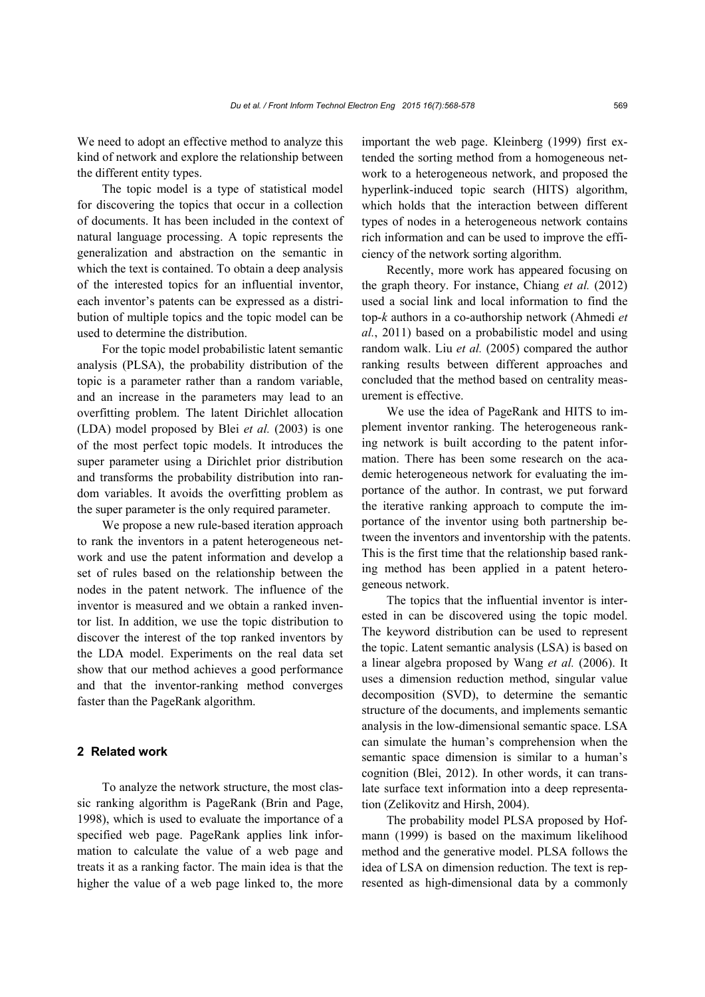We need to adopt an effective method to analyze this kind of network and explore the relationship between the different entity types.

The topic model is a type of statistical model for discovering the topics that occur in a collection of documents. It has been included in the context of natural language processing. A topic represents the generalization and abstraction on the semantic in which the text is contained. To obtain a deep analysis of the interested topics for an influential inventor, each inventor's patents can be expressed as a distribution of multiple topics and the topic model can be used to determine the distribution.

For the topic model probabilistic latent semantic analysis (PLSA), the probability distribution of the topic is a parameter rather than a random variable, and an increase in the parameters may lead to an overfitting problem. The latent Dirichlet allocation (LDA) model proposed by Blei *et al.* (2003) is one of the most perfect topic models. It introduces the super parameter using a Dirichlet prior distribution and transforms the probability distribution into random variables. It avoids the overfitting problem as the super parameter is the only required parameter.

We propose a new rule-based iteration approach to rank the inventors in a patent heterogeneous network and use the patent information and develop a set of rules based on the relationship between the nodes in the patent network. The influence of the inventor is measured and we obtain a ranked inventor list. In addition, we use the topic distribution to discover the interest of the top ranked inventors by the LDA model. Experiments on the real data set show that our method achieves a good performance and that the inventor-ranking method converges faster than the PageRank algorithm.

## **2 Related work**

To analyze the network structure, the most classic ranking algorithm is PageRank (Brin and Page, 1998), which is used to evaluate the importance of a specified web page. PageRank applies link information to calculate the value of a web page and treats it as a ranking factor. The main idea is that the higher the value of a web page linked to, the more important the web page. Kleinberg (1999) first extended the sorting method from a homogeneous network to a heterogeneous network, and proposed the hyperlink-induced topic search (HITS) algorithm, which holds that the interaction between different types of nodes in a heterogeneous network contains rich information and can be used to improve the efficiency of the network sorting algorithm.

Recently, more work has appeared focusing on the graph theory. For instance, Chiang *et al.* (2012) used a social link and local information to find the top-*k* authors in a co-authorship network (Ahmedi *et al.*, 2011) based on a probabilistic model and using random walk. Liu *et al.* (2005) compared the author ranking results between different approaches and concluded that the method based on centrality measurement is effective.

We use the idea of PageRank and HITS to implement inventor ranking. The heterogeneous ranking network is built according to the patent information. There has been some research on the academic heterogeneous network for evaluating the importance of the author. In contrast, we put forward the iterative ranking approach to compute the importance of the inventor using both partnership between the inventors and inventorship with the patents. This is the first time that the relationship based ranking method has been applied in a patent heterogeneous network.

The topics that the influential inventor is interested in can be discovered using the topic model. The keyword distribution can be used to represent the topic. Latent semantic analysis (LSA) is based on a linear algebra proposed by Wang *et al.* (2006). It uses a dimension reduction method, singular value decomposition (SVD), to determine the semantic structure of the documents, and implements semantic analysis in the low-dimensional semantic space. LSA can simulate the human's comprehension when the semantic space dimension is similar to a human's cognition (Blei, 2012). In other words, it can translate surface text information into a deep representation (Zelikovitz and Hirsh, 2004).

The probability model PLSA proposed by Hofmann (1999) is based on the maximum likelihood method and the generative model. PLSA follows the idea of LSA on dimension reduction. The text is represented as high-dimensional data by a commonly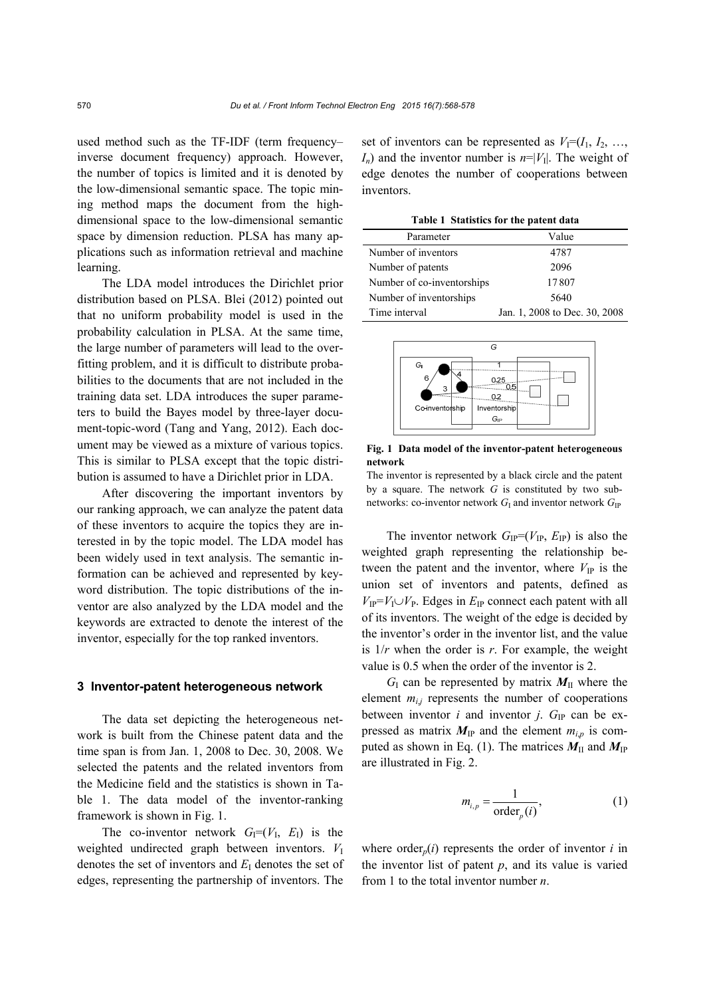used method such as the TF-IDF (term frequency– inverse document frequency) approach. However, the number of topics is limited and it is denoted by the low-dimensional semantic space. The topic mining method maps the document from the highdimensional space to the low-dimensional semantic space by dimension reduction. PLSA has many applications such as information retrieval and machine learning.

The LDA model introduces the Dirichlet prior distribution based on PLSA. Blei (2012) pointed out that no uniform probability model is used in the probability calculation in PLSA. At the same time, the large number of parameters will lead to the overfitting problem, and it is difficult to distribute probabilities to the documents that are not included in the training data set. LDA introduces the super parameters to build the Bayes model by three-layer document-topic-word (Tang and Yang, 2012). Each document may be viewed as a mixture of various topics. This is similar to PLSA except that the topic distribution is assumed to have a Dirichlet prior in LDA.

After discovering the important inventors by our ranking approach, we can analyze the patent data of these inventors to acquire the topics they are interested in by the topic model. The LDA model has been widely used in text analysis. The semantic information can be achieved and represented by keyword distribution. The topic distributions of the inventor are also analyzed by the LDA model and the keywords are extracted to denote the interest of the inventor, especially for the top ranked inventors.

#### **3 Inventor-patent heterogeneous network**

The data set depicting the heterogeneous network is built from the Chinese patent data and the time span is from Jan. 1, 2008 to Dec. 30, 2008. We selected the patents and the related inventors from the Medicine field and the statistics is shown in Table 1. The data model of the inventor-ranking framework is shown in Fig. 1.

The co-inventor network  $G_I=(V_I, E_I)$  is the weighted undirected graph between inventors.  $V_1$ denotes the set of inventors and  $E<sub>I</sub>$  denotes the set of edges, representing the partnership of inventors. The set of inventors can be represented as  $V_1=(I_1, I_2, \ldots, I_n)$  $I_n$ ) and the inventor number is  $n=|V_1|$ . The weight of edge denotes the number of cooperations between inventors.

|  |  |  | Table 1 Statistics for the patent data |
|--|--|--|----------------------------------------|
|--|--|--|----------------------------------------|

| Parameter                  | Value                         |
|----------------------------|-------------------------------|
| Number of inventors        | 4787                          |
| Number of patents          | 2096                          |
| Number of co-inventorships | 17807                         |
| Number of inventorships    | 5640                          |
| Time interval              | Jan. 1, 2008 to Dec. 30, 2008 |



**Fig. 1 Data model of the inventor-patent heterogeneous network** 

The inventor is represented by a black circle and the patent by a square. The network *G* is constituted by two subnetworks: co-inventor network  $G<sub>I</sub>$  and inventor network  $G<sub>IP</sub>$ 

The inventor network  $G_{IP}=(V_{IP}, E_{IP})$  is also the weighted graph representing the relationship between the patent and the inventor, where  $V_{IP}$  is the union set of inventors and patents, defined as  $V_{\text{IP}}=V_{\text{I}}\cup V_{\text{P}}$ . Edges in  $E_{\text{IP}}$  connect each patent with all of its inventors. The weight of the edge is decided by the inventor's order in the inventor list, and the value is 1/*r* when the order is *r*. For example, the weight value is 0.5 when the order of the inventor is 2.

 $G<sub>I</sub>$  can be represented by matrix  $M<sub>II</sub>$  where the element  $m_{i,j}$  represents the number of cooperations between inventor  $i$  and inventor  $j$ .  $G_{IP}$  can be expressed as matrix  $M_{IP}$  and the element  $m_{i,p}$  is computed as shown in Eq. (1). The matrices  $M_{\text{II}}$  and  $M_{\text{IP}}$ are illustrated in Fig. 2.

$$
m_{i,p} = \frac{1}{\text{order}_p(i)},\tag{1}
$$

where order<sub>*p*</sub> $(i)$  represents the order of inventor *i* in the inventor list of patent  $p$ , and its value is varied from 1 to the total inventor number *n*.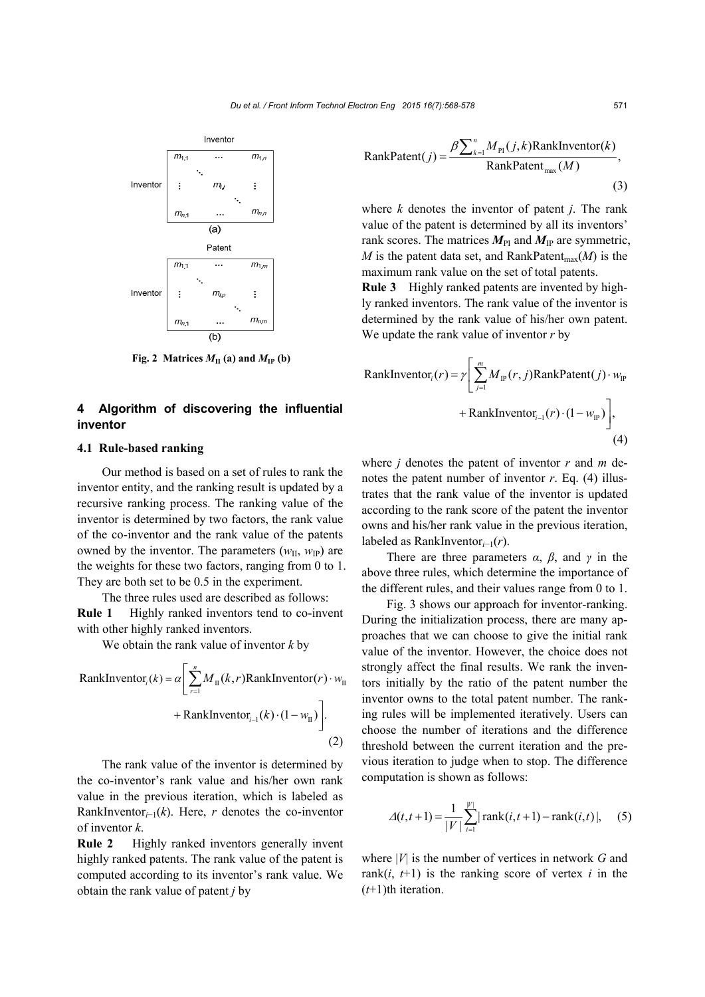

**Fig. 2** Matrices  $M_{II}$  (a) and  $M_{IP}$  (b)

## **4 Algorithm of discovering the influential inventor**

## **4.1 Rule-based ranking**

Our method is based on a set of rules to rank the inventor entity, and the ranking result is updated by a recursive ranking process. The ranking value of the inventor is determined by two factors, the rank value of the co-inventor and the rank value of the patents owned by the inventor. The parameters  $(w_{\text{II}}, w_{\text{IP}})$  are the weights for these two factors, ranging from 0 to 1. They are both set to be 0.5 in the experiment.

The three rules used are described as follows: **Rule 1** Highly ranked inventors tend to co-invent with other highly ranked inventors.

We obtain the rank value of inventor *k* by

RankInventor<sub>i</sub>(k) = 
$$
\alpha \left[ \sum_{r=1}^{n} M_{\text{II}}(k,r) \text{RankInventor}(r) \cdot w_{\text{II}} + \text{RankInventor}_{i-1}(k) \cdot (1 - w_{\text{II}}) \right].
$$
 (2)

The rank value of the inventor is determined by the co-inventor's rank value and his/her own rank value in the previous iteration, which is labeled as RankInventor<sub>*i*−1</sub>( $k$ ). Here,  $r$  denotes the co-inventor of inventor *k*.

**Rule 2** Highly ranked inventors generally invent highly ranked patents. The rank value of the patent is computed according to its inventor's rank value. We obtain the rank value of patent *j* by

RankPattern
$$
RankPattern
$$
RankPattern
$$
J = \frac{\beta \sum_{k=1}^{n} M_{\text{PI}}(j,k) RankInventor(k)}{RankPatternmax(M)},
$$
\n(3)
$$
$$

where *k* denotes the inventor of patent *j*. The rank value of the patent is determined by all its inventors' rank scores. The matrices  $M_{\text{PI}}$  and  $M_{\text{IP}}$  are symmetric, *M* is the patent data set, and RankPatent<sub>max</sub> $(M)$  is the maximum rank value on the set of total patents.

**Rule 3** Highly ranked patents are invented by highly ranked inventors. The rank value of the inventor is determined by the rank value of his/her own patent. We update the rank value of inventor *r* by

RankInventor<sub>i</sub>(r) = 
$$
\gamma \left[ \sum_{j=1}^{m} M_{IP}(r, j) \text{RankPattern}(j) \cdot w_{IP} + \text{RankInventor}_{i-1}(r) \cdot (1 - w_{IP}) \right],
$$
 (4)

where *j* denotes the patent of inventor *r* and *m* denotes the patent number of inventor  $r$ . Eq. (4) illustrates that the rank value of the inventor is updated according to the rank score of the patent the inventor owns and his/her rank value in the previous iteration, labeled as RankInventor*i*−1(*r*).

There are three parameters *α*, *β*, and *γ* in the above three rules, which determine the importance of the different rules, and their values range from 0 to 1.

Fig. 3 shows our approach for inventor-ranking. During the initialization process, there are many approaches that we can choose to give the initial rank value of the inventor. However, the choice does not strongly affect the final results. We rank the inventors initially by the ratio of the patent number the inventor owns to the total patent number. The ranking rules will be implemented iteratively. Users can choose the number of iterations and the difference threshold between the current iteration and the previous iteration to judge when to stop. The difference computation is shown as follows:

$$
\Delta(t, t+1) = \frac{1}{|V|} \sum_{i=1}^{|V|} |\operatorname{rank}(i, t+1) - \operatorname{rank}(i, t)|, \quad (5)
$$

where |*V*| is the number of vertices in network *G* and rank $(i, t+1)$  is the ranking score of vertex *i* in the (*t*+1)th iteration.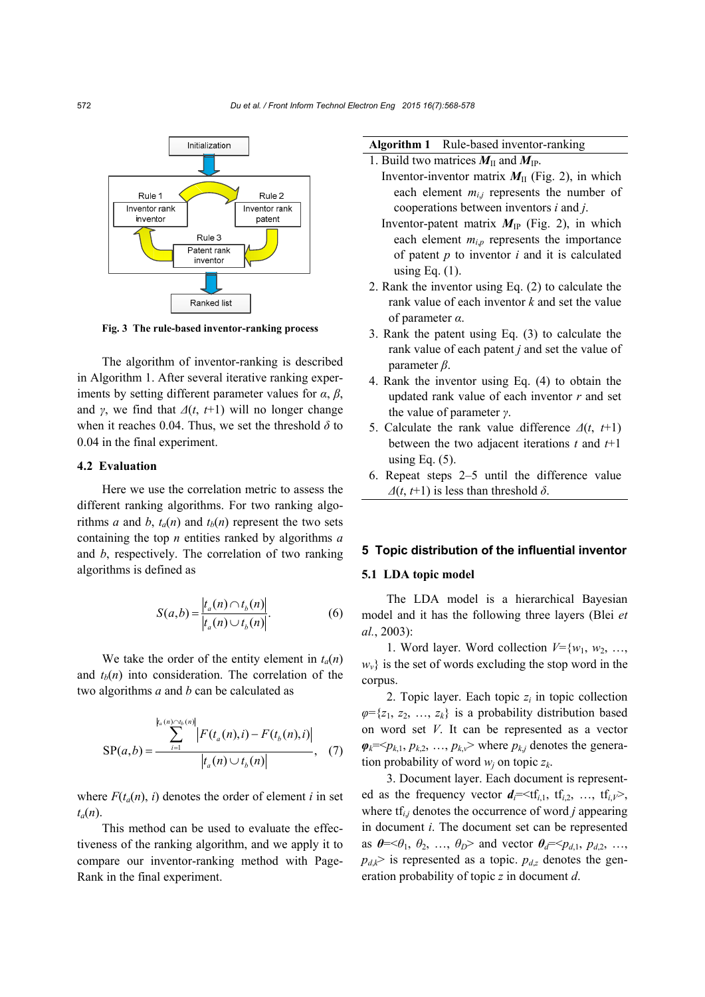

**Fig. 3 The rule-based inventor-ranking process**

The algorithm of inventor-ranking is described in Algorithm 1. After several iterative ranking experiments by setting different parameter values for  $\alpha$ ,  $\beta$ , and *γ*, we find that  $\Delta(t, t+1)$  will no longer change when it reaches 0.04. Thus, we set the threshold  $\delta$  to 0.04 in the final experiment.

#### **4.2 Evaluation**

Here we use the correlation metric to assess the different ranking algorithms. For two ranking algorithms *a* and *b*,  $t_a(n)$  and  $t_b(n)$  represent the two sets containing the top *n* entities ranked by algorithms *a* and *b*, respectively. The correlation of two ranking algorithms is defined as

$$
S(a,b) = \frac{|t_a(n) \cap t_b(n)|}{|t_a(n) \cup t_b(n)|}.
$$
 (6)

We take the order of the entity element in  $t_a(n)$ and  $t_b(n)$  into consideration. The correlation of the two algorithms *a* and *b* can be calculated as

$$
SP(a,b) = \frac{\sum_{i=1}^{|t_a(n)\cap t_b(n)|} |F(t_a(n),i) - F(t_b(n),i)|}{|t_a(n)\cup t_b(n)|}, \quad (7)
$$

where  $F(t_a(n), i)$  denotes the order of element *i* in set *ta*(*n*).

This method can be used to evaluate the effectiveness of the ranking algorithm, and we apply it to compare our inventor-ranking method with Page-Rank in the final experiment.

**Algorithm 1** Rule-based inventor-ranking

- 1. Build two matrices  $M_{II}$  and  $M_{IP}$ .
	- Inventor-inventor matrix  $M_{II}$  (Fig. 2), in which each element  $m_{i,j}$  represents the number of cooperations between inventors *i* and *j*.
	- Inventor-patent matrix  $M_{\text{IP}}$  (Fig. 2), in which each element  $m_{i,p}$  represents the importance of patent *p* to inventor *i* and it is calculated using Eq.  $(1)$ .
- 2. Rank the inventor using Eq. (2) to calculate the rank value of each inventor *k* and set the value of parameter *α*.
- 3. Rank the patent using Eq. (3) to calculate the rank value of each patent *j* and set the value of parameter *β*.
- 4. Rank the inventor using Eq. (4) to obtain the updated rank value of each inventor *r* and set the value of parameter *γ*.
- 5. Calculate the rank value difference  $\Delta(t, t+1)$ between the two adjacent iterations *t* and *t*+1 using Eq.  $(5)$ .
- 6. Repeat steps 2–5 until the difference value  $\Delta(t, t+1)$  is less than threshold  $\delta$ .

#### **5 Topic distribution of the influential inventor**

#### **5.1 LDA topic model**

The LDA model is a hierarchical Bayesian model and it has the following three layers (Blei *et al.*, 2003):

1. Word layer. Word collection  $V = \{w_1, w_2, \ldots, w_n\}$  $w_v$  is the set of words excluding the stop word in the corpus.

2. Topic layer. Each topic  $z_i$  in topic collection  $\varphi = \{z_1, z_2, \ldots, z_k\}$  is a probability distribution based on word set *V*. It can be represented as a vector  $\varphi_k = \langle p_{k,1}, p_{k,2}, \dots, p_{k,v} \rangle$  where  $p_{k,j}$  denotes the generation probability of word  $w_i$  on topic  $z_k$ .

3. Document layer. Each document is represented as the frequency vector  $d_i = \text{tf}_{i,1}$ ,  $\text{tf}_{i,2}$ , ...,  $\text{tf}_{i,i}$ , where tf*i*,*j* denotes the occurrence of word *j* appearing in document *i*. The document set can be represented as  $\theta = \langle \theta_1, \theta_2, \dots, \theta_D \rangle$  and vector  $\theta_d = \langle p_{d,1}, p_{d,2}, \dots, p_{d,2} \rangle$  $p_{d,k}$  is represented as a topic.  $p_{d,z}$  denotes the generation probability of topic *z* in document *d*.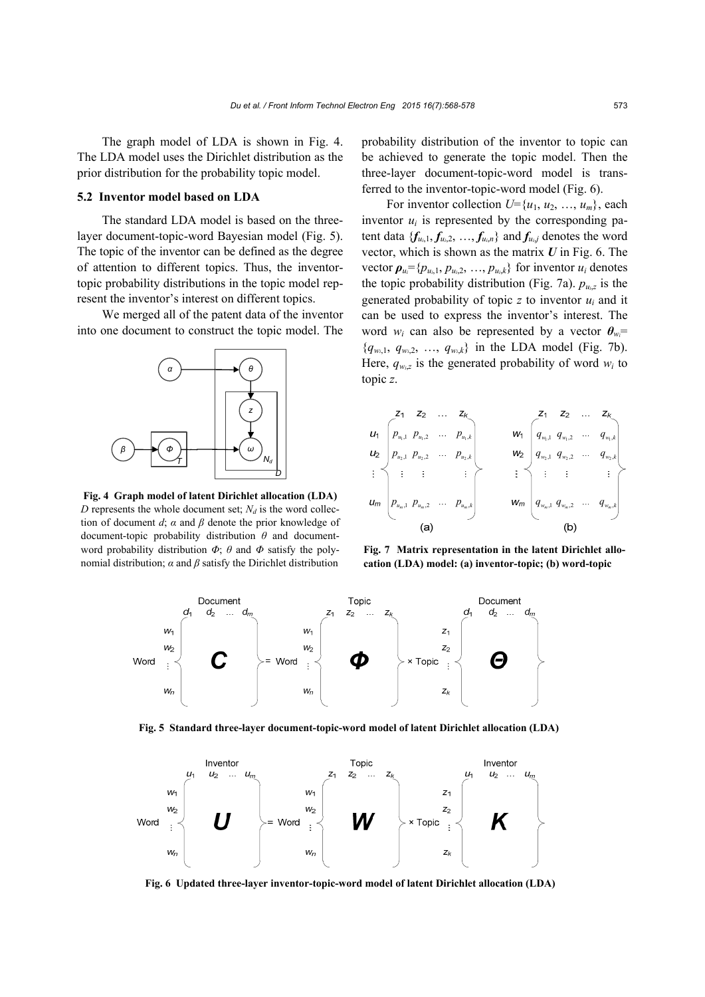The graph model of LDA is shown in Fig. 4. The LDA model uses the Dirichlet distribution as the prior distribution for the probability topic model.

#### **5.2 Inventor model based on LDA**

The standard LDA model is based on the threelayer document-topic-word Bayesian model (Fig. 5). The topic of the inventor can be defined as the degree of attention to different topics. Thus, the inventortopic probability distributions in the topic model represent the inventor's interest on different topics.

We merged all of the patent data of the inventor into one document to construct the topic model. The



**Fig. 4 Graph model of latent Dirichlet allocation (LDA)**  *D* represents the whole document set;  $N_d$  is the word collection of document *d*; *α* and *β* denote the prior knowledge of document-topic probability distribution *θ* and documentword probability distribution *Φ*; *θ* and *Φ* satisfy the polynomial distribution; *α* and *β* satisfy the Dirichlet distribution

probability distribution of the inventor to topic can be achieved to generate the topic model. Then the three-layer document-topic-word model is transferred to the inventor-topic-word model (Fig. 6).

For inventor collection  $U = \{u_1, u_2, \ldots, u_m\}$ , each inventor  $u_i$  is represented by the corresponding patent data  $\{f_{u_i,1}, f_{u_i,2}, \ldots, f_{u_i,n}\}$  and  $f_{u_i,j}$  denotes the word vector, which is shown as the matrix *U* in Fig. 6. The vector  $\rho_{u_i} = \{p_{u_i,1}, p_{u_i,2}, \ldots, p_{u_i,k}\}\$ for inventor  $u_i$  denotes the topic probability distribution (Fig. 7a).  $p_{u,z}$  is the generated probability of topic  $z$  to inventor  $u_i$  and it can be used to express the inventor's interest. The word  $w_i$  can also be represented by a vector  $\theta_{w_i}$  ${q_{w_i,1}, q_{w_i,2}, ..., q_{w_i,k}}$  in the LDA model (Fig. 7b). Here,  $q_{w_i,z}$  is the generated probability of word  $w_i$  to topic *z*.







**Fig. 5 Standard three-layer document-topic-word model of latent Dirichlet allocation (LDA)**



**Fig. 6 Updated three-layer inventor-topic-word model of latent Dirichlet allocation (LDA)**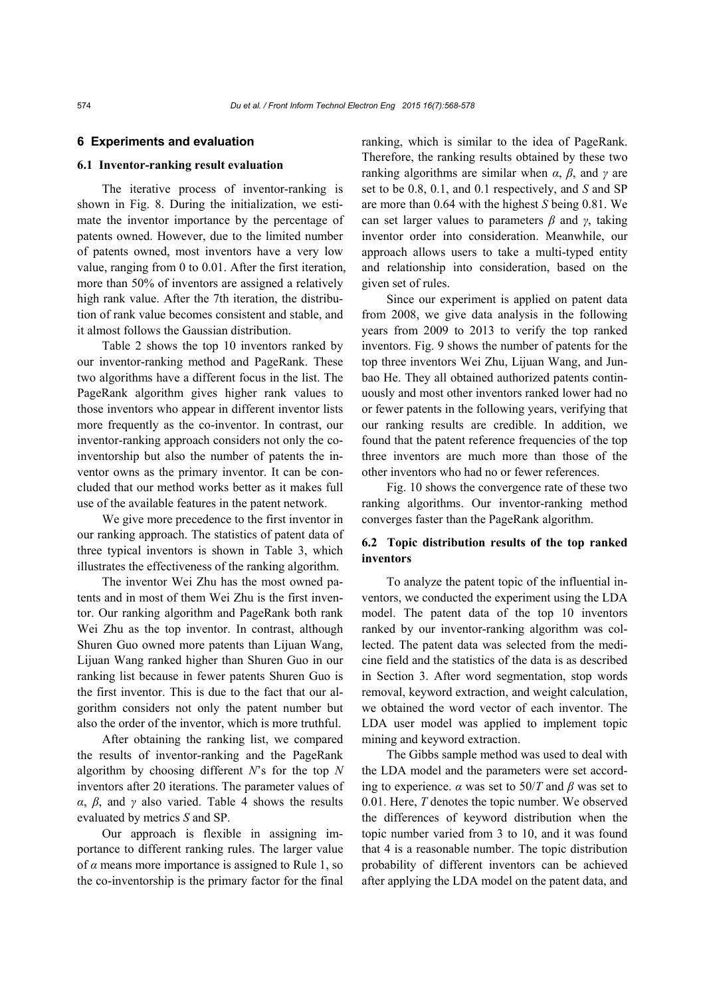#### **6 Experiments and evaluation**

#### **6.1 Inventor-ranking result evaluation**

The iterative process of inventor-ranking is shown in Fig. 8. During the initialization, we estimate the inventor importance by the percentage of patents owned. However, due to the limited number of patents owned, most inventors have a very low value, ranging from 0 to 0.01. After the first iteration, more than 50% of inventors are assigned a relatively high rank value. After the 7th iteration, the distribution of rank value becomes consistent and stable, and it almost follows the Gaussian distribution.

Table 2 shows the top 10 inventors ranked by our inventor-ranking method and PageRank. These two algorithms have a different focus in the list. The PageRank algorithm gives higher rank values to those inventors who appear in different inventor lists more frequently as the co-inventor. In contrast, our inventor-ranking approach considers not only the coinventorship but also the number of patents the inventor owns as the primary inventor. It can be concluded that our method works better as it makes full use of the available features in the patent network.

We give more precedence to the first inventor in our ranking approach. The statistics of patent data of three typical inventors is shown in Table 3, which illustrates the effectiveness of the ranking algorithm.

The inventor Wei Zhu has the most owned patents and in most of them Wei Zhu is the first inventor. Our ranking algorithm and PageRank both rank Wei Zhu as the top inventor. In contrast, although Shuren Guo owned more patents than Lijuan Wang, Lijuan Wang ranked higher than Shuren Guo in our ranking list because in fewer patents Shuren Guo is the first inventor. This is due to the fact that our algorithm considers not only the patent number but also the order of the inventor, which is more truthful.

After obtaining the ranking list, we compared the results of inventor-ranking and the PageRank algorithm by choosing different *N*'s for the top *N* inventors after 20 iterations. The parameter values of *α*, *β*, and *γ* also varied. Table 4 shows the results evaluated by metrics *S* and SP.

Our approach is flexible in assigning importance to different ranking rules. The larger value of  $\alpha$  means more importance is assigned to Rule 1, so the co-inventorship is the primary factor for the final ranking, which is similar to the idea of PageRank. Therefore, the ranking results obtained by these two ranking algorithms are similar when *α*, *β*, and *γ* are set to be 0.8, 0.1, and 0.1 respectively, and *S* and SP are more than 0.64 with the highest *S* being 0.81. We can set larger values to parameters *β* and *γ*, taking inventor order into consideration. Meanwhile, our approach allows users to take a multi-typed entity and relationship into consideration, based on the given set of rules.

Since our experiment is applied on patent data from 2008, we give data analysis in the following years from 2009 to 2013 to verify the top ranked inventors. Fig. 9 shows the number of patents for the top three inventors Wei Zhu, Lijuan Wang, and Junbao He. They all obtained authorized patents continuously and most other inventors ranked lower had no or fewer patents in the following years, verifying that our ranking results are credible. In addition, we found that the patent reference frequencies of the top three inventors are much more than those of the other inventors who had no or fewer references.

Fig. 10 shows the convergence rate of these two ranking algorithms. Our inventor-ranking method converges faster than the PageRank algorithm.

# **6.2 Topic distribution results of the top ranked inventors**

To analyze the patent topic of the influential inventors, we conducted the experiment using the LDA model. The patent data of the top 10 inventors ranked by our inventor-ranking algorithm was collected. The patent data was selected from the medicine field and the statistics of the data is as described in Section 3. After word segmentation, stop words removal, keyword extraction, and weight calculation, we obtained the word vector of each inventor. The LDA user model was applied to implement topic mining and keyword extraction.

The Gibbs sample method was used to deal with the LDA model and the parameters were set according to experience.  $\alpha$  was set to 50/*T* and  $\beta$  was set to 0.01. Here, *T* denotes the topic number. We observed the differences of keyword distribution when the topic number varied from 3 to 10, and it was found that 4 is a reasonable number. The topic distribution probability of different inventors can be achieved after applying the LDA model on the patent data, and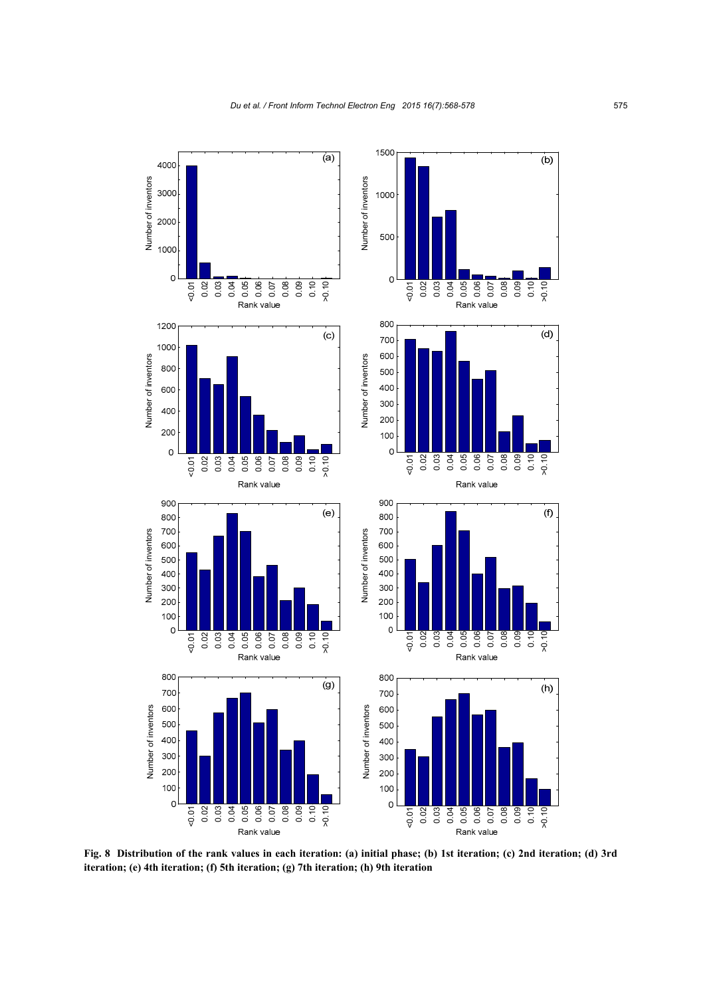

**Fig. 8 Distribution of the rank values in each iteration: (a) initial phase; (b) 1st iteration; (c) 2nd iteration; (d) 3rd iteration; (e) 4th iteration; (f) 5th iteration; (g) 7th iteration; (h) 9th iteration**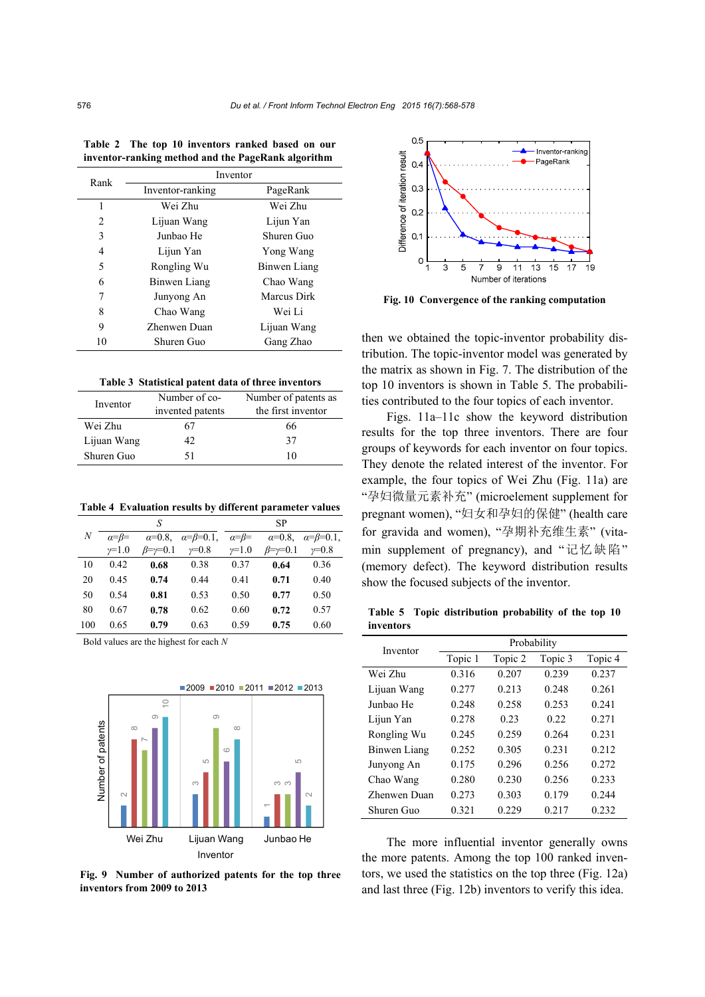| Rank           | Inventor         |              |  |  |
|----------------|------------------|--------------|--|--|
|                | Inventor-ranking | PageRank     |  |  |
| 1              | Wei Zhu          | Wei Zhu      |  |  |
| $\mathfrak{D}$ | Lijuan Wang      | Lijun Yan    |  |  |
| 3              | Junhao He        | Shuren Guo   |  |  |
| 4              | Lijun Yan        | Yong Wang    |  |  |
| 5              | Rongling Wu      | Binwen Liang |  |  |
| 6              | Binwen Liang     | Chao Wang    |  |  |
| 7              | Junyong An       | Marcus Dirk  |  |  |
| 8              | Chao Wang        | Wei Li       |  |  |
| 9              | Zhenwen Duan     | Lijuan Wang  |  |  |
| 10             | Shuren Guo       | Gang Zhao    |  |  |

**Table 2 The top 10 inventors ranked based on our inventor-ranking method and the PageRank algorithm**

| Table 3 Statistical patent data of three inventors |  |  |  |  |  |
|----------------------------------------------------|--|--|--|--|--|
|----------------------------------------------------|--|--|--|--|--|

| Inventor    | Number of co-<br>invented patents | Number of patents as<br>the first inventor |
|-------------|-----------------------------------|--------------------------------------------|
| Wei Zhu     | 67                                | 66                                         |
| Lijuan Wang | 42.                               | 37                                         |
| Shuren Guo  | 51                                | 10                                         |

**Table 4 Evaluation results by different parameter values**

|     | S             |                        |                                     | <b>SP</b>     |                        |                        |
|-----|---------------|------------------------|-------------------------------------|---------------|------------------------|------------------------|
| N   | $a = \beta =$ |                        | $\alpha=0.8$ , $\alpha=\beta=0.1$ , | $a = \beta =$ | $\alpha=0.8$           | $\alpha = \beta = 0.1$ |
|     | $\nu = 1.0$   | $\beta = \gamma = 0.1$ | $y=0.8$                             | $y=1.0$       | $\beta = \gamma = 0.1$ | $y=0.8$                |
| 10  | 0.42          | 0.68                   | 0.38                                | 0.37          | 0.64                   | 0.36                   |
| 20  | 0.45          | 0.74                   | 0.44                                | 0.41          | 0.71                   | 0.40                   |
| 50  | 0.54          | 0.81                   | 0.53                                | 0.50          | 0.77                   | 0.50                   |
| 80  | 0.67          | 0.78                   | 0.62                                | 0.60          | 0.72                   | 0.57                   |
| 100 | 0.65          | 0.79                   | 0.63                                | 0.59          | 0.75                   | 0.60                   |

Bold values are the highest for each *N*



**Fig. 9 Number of authorized patents for the top three inventors from 2009 to 2013** 



**Fig. 10 Convergence of the ranking computation** 

then we obtained the topic-inventor probability distribution. The topic-inventor model was generated by the matrix as shown in Fig. 7. The distribution of the top 10 inventors is shown in Table 5. The probabilities contributed to the four topics of each inventor.

Figs. 11a–11c show the keyword distribution results for the top three inventors. There are four groups of keywords for each inventor on four topics. They denote the related interest of the inventor. For example, the four topics of Wei Zhu (Fig. 11a) are "孕妇微量元素补充" (microelement supplement for pregnant women), "妇女和孕妇的保健" (health care for gravida and women), "孕期补充维生素" (vitamin supplement of pregnancy), and "记忆缺陷" (memory defect). The keyword distribution results show the focused subjects of the inventor.

**Table 5 Topic distribution probability of the top 10 inventors** 

| Inventor     | Probability |         |         |         |  |
|--------------|-------------|---------|---------|---------|--|
|              | Topic 1     | Topic 2 | Topic 3 | Topic 4 |  |
| Wei Zhu      | 0.316       | 0.207   | 0.239   | 0.237   |  |
| Lijuan Wang  | 0.277       | 0.213   | 0.248   | 0.261   |  |
| Junbao He    | 0.248       | 0.258   | 0.253   | 0.241   |  |
| Lijun Yan    | 0.278       | 0.23    | 0.22    | 0.271   |  |
| Rongling Wu  | 0.245       | 0.259   | 0.264   | 0.231   |  |
| Binwen Liang | 0.252       | 0.305   | 0.231   | 0.212   |  |
| Junyong An   | 0.175       | 0.296   | 0.256   | 0.272   |  |
| Chao Wang    | 0.280       | 0.230   | 0.256   | 0.233   |  |
| Zhenwen Duan | 0.273       | 0.303   | 0.179   | 0.244   |  |
| Shuren Guo   | 0.321       | 0.229   | 0.217   | 0.232   |  |

The more influential inventor generally owns the more patents. Among the top 100 ranked inventors, we used the statistics on the top three (Fig. 12a) and last three (Fig. 12b) inventors to verify this idea.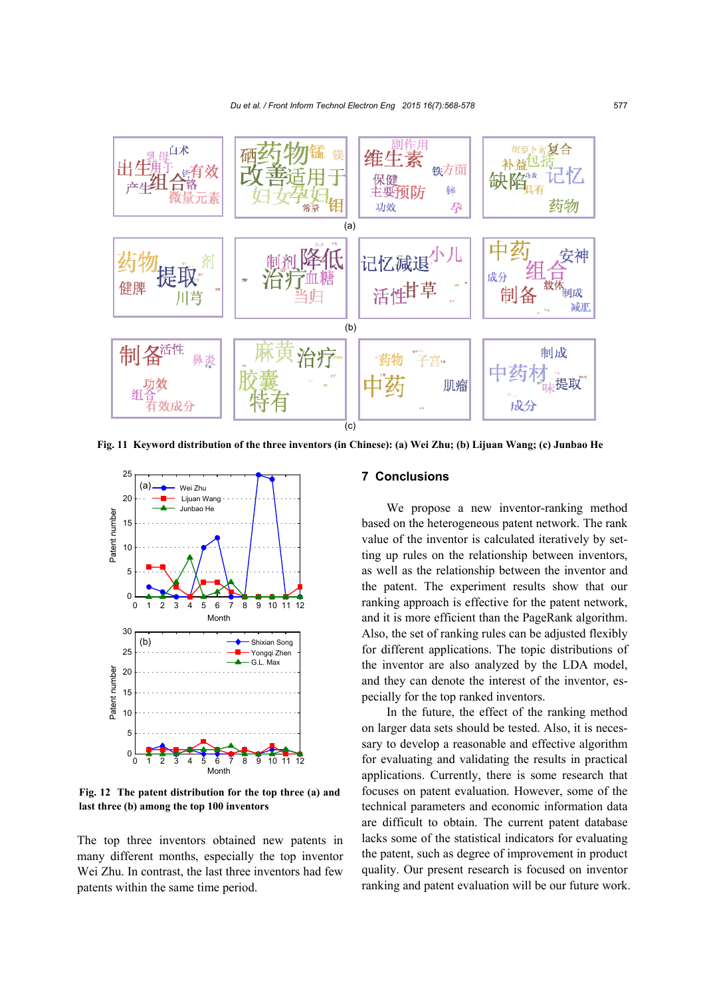

**Fig. 11 Keyword distribution of the three inventors (in Chinese): (a) Wei Zhu; (b) Lijuan Wang; (c) Junbao He** 



**Fig. 12 The patent distribution for the top three (a) and last three (b) among the top 100 inventors** 

The top three inventors obtained new patents in many different months, especially the top inventor Wei Zhu. In contrast, the last three inventors had few patents within the same time period.

## **7 Conclusions**

We propose a new inventor-ranking method based on the heterogeneous patent network. The rank value of the inventor is calculated iteratively by setting up rules on the relationship between inventors, as well as the relationship between the inventor and the patent. The experiment results show that our ranking approach is effective for the patent network, and it is more efficient than the PageRank algorithm. Also, the set of ranking rules can be adjusted flexibly for different applications. The topic distributions of the inventor are also analyzed by the LDA model, and they can denote the interest of the inventor, especially for the top ranked inventors.

In the future, the effect of the ranking method on larger data sets should be tested. Also, it is necessary to develop a reasonable and effective algorithm for evaluating and validating the results in practical applications. Currently, there is some research that focuses on patent evaluation. However, some of the technical parameters and economic information data are difficult to obtain. The current patent database lacks some of the statistical indicators for evaluating the patent, such as degree of improvement in product quality. Our present research is focused on inventor ranking and patent evaluation will be our future work.